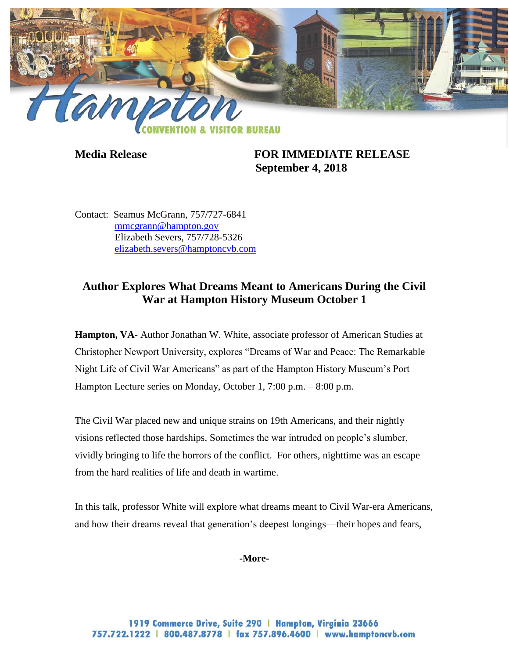

**Media Release FOR IMMEDIATE RELEASE September 4, 2018**

Contact: Seamus McGrann, 757/727-6841 [mmcgrann@hampton.gov](mailto:mmcgrann@hampton.gov) Elizabeth Severs, 757/728-5326 [elizabeth.severs@hamptoncvb.com](mailto:elizabeth.severs@hamptoncvb.com)

## **Author Explores What Dreams Meant to Americans During the Civil War at Hampton History Museum October 1**

**Hampton, VA**- Author Jonathan W. White, associate professor of American Studies at Christopher Newport University, explores "Dreams of War and Peace: The Remarkable Night Life of Civil War Americans" as part of the Hampton History Museum's Port Hampton Lecture series on Monday, October 1, 7:00 p.m. – 8:00 p.m.

The Civil War placed new and unique strains on 19th Americans, and their nightly visions reflected those hardships. Sometimes the war intruded on people's slumber, vividly bringing to life the horrors of the conflict. For others, nighttime was an escape from the hard realities of life and death in wartime.

In this talk, professor White will explore what dreams meant to Civil War-era Americans, and how their dreams reveal that generation's deepest longings—their hopes and fears,

## **-More-**